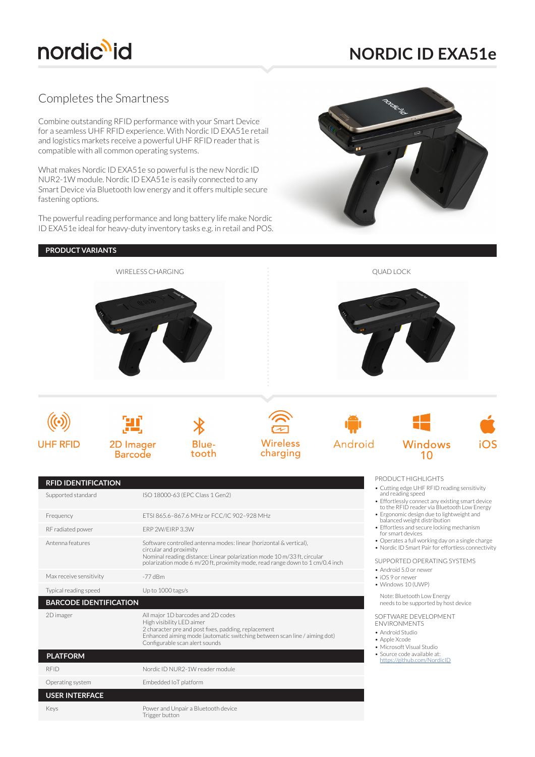

# **NORDIC ID EXA51e**

### Completes the Smartness

Combine outstanding RFID performance with your Smart Device for a seamless UHF RFID experience. With Nordic ID EXA51e retail and logistics markets receive a powerful UHF RFID reader that is compatible with all common operating systems.

What makes Nordic ID EXA51e so powerful is the new Nordic ID NUR2-1W module. Nordic ID EXA51e is easily connected to any Smart Device via Bluetooth low energy and it offers multiple secure fastening options.

The powerful reading performance and long battery life make Nordic ID EXA51e ideal for heavy-duty inventory tasks e.g. in retail and POS.



### **PRODUCT VARIANTS**